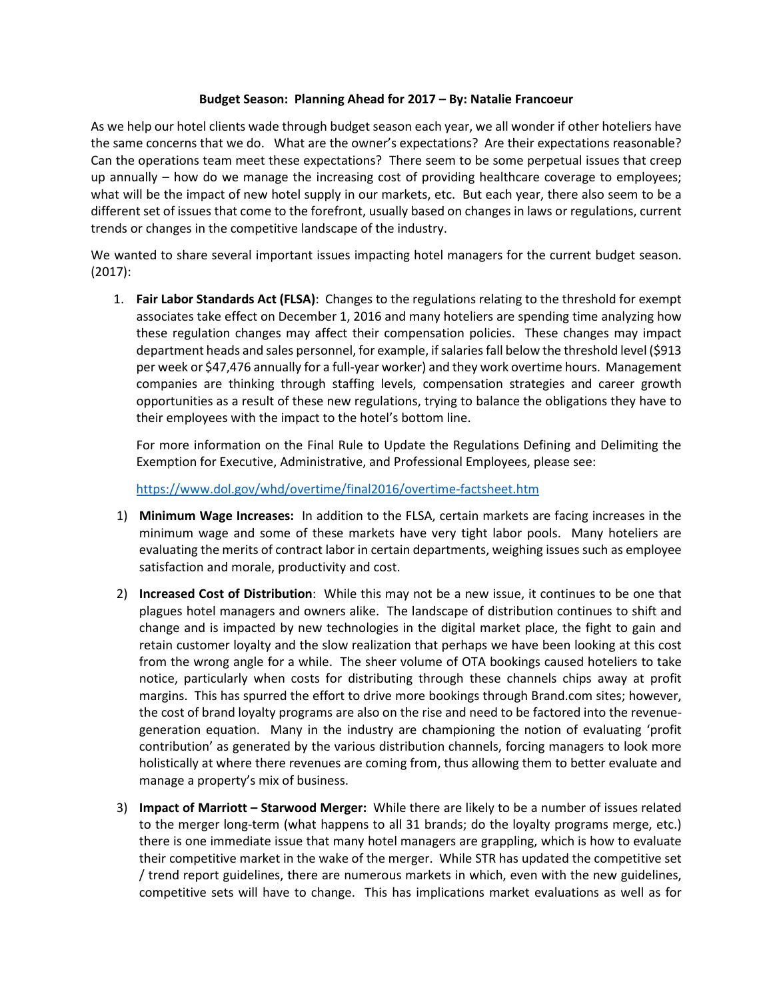## **Budget Season: Planning Ahead for 2017 – By: Natalie Francoeur**

As we help our hotel clients wade through budget season each year, we all wonder if other hoteliers have the same concerns that we do. What are the owner's expectations? Are their expectations reasonable? Can the operations team meet these expectations? There seem to be some perpetual issues that creep up annually – how do we manage the increasing cost of providing healthcare coverage to employees; what will be the impact of new hotel supply in our markets, etc. But each year, there also seem to be a different set of issues that come to the forefront, usually based on changes in laws or regulations, current trends or changes in the competitive landscape of the industry.

We wanted to share several important issues impacting hotel managers for the current budget season. (2017):

1. **Fair Labor Standards Act (FLSA)**: Changes to the regulations relating to the threshold for exempt associates take effect on December 1, 2016 and many hoteliers are spending time analyzing how these regulation changes may affect their compensation policies. These changes may impact department heads and sales personnel, for example, if salaries fall below the threshold level (\$913 per week or \$47,476 annually for a full-year worker) and they work overtime hours. Management companies are thinking through staffing levels, compensation strategies and career growth opportunities as a result of these new regulations, trying to balance the obligations they have to their employees with the impact to the hotel's bottom line.

For more information on the Final Rule to Update the Regulations Defining and Delimiting the Exemption for Executive, Administrative, and Professional Employees, please see:

<https://www.dol.gov/whd/overtime/final2016/overtime-factsheet.htm>

- 1) **Minimum Wage Increases:** In addition to the FLSA, certain markets are facing increases in the minimum wage and some of these markets have very tight labor pools. Many hoteliers are evaluating the merits of contract labor in certain departments, weighing issues such as employee satisfaction and morale, productivity and cost.
- 2) **Increased Cost of Distribution**: While this may not be a new issue, it continues to be one that plagues hotel managers and owners alike. The landscape of distribution continues to shift and change and is impacted by new technologies in the digital market place, the fight to gain and retain customer loyalty and the slow realization that perhaps we have been looking at this cost from the wrong angle for a while. The sheer volume of OTA bookings caused hoteliers to take notice, particularly when costs for distributing through these channels chips away at profit margins. This has spurred the effort to drive more bookings through Brand.com sites; however, the cost of brand loyalty programs are also on the rise and need to be factored into the revenuegeneration equation. Many in the industry are championing the notion of evaluating 'profit contribution' as generated by the various distribution channels, forcing managers to look more holistically at where there revenues are coming from, thus allowing them to better evaluate and manage a property's mix of business.
- 3) **Impact of Marriott – Starwood Merger:** While there are likely to be a number of issues related to the merger long-term (what happens to all 31 brands; do the loyalty programs merge, etc.) there is one immediate issue that many hotel managers are grappling, which is how to evaluate their competitive market in the wake of the merger. While STR has updated the competitive set / trend report guidelines, there are numerous markets in which, even with the new guidelines, competitive sets will have to change. This has implications market evaluations as well as for